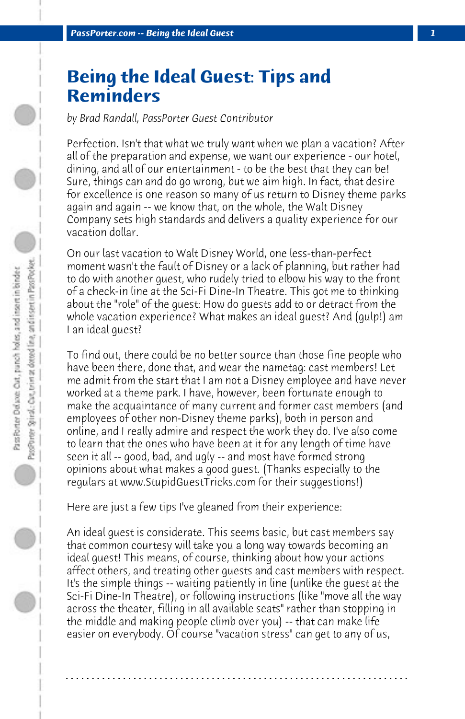## **Being the Ideal Guest: Tips and Reminders**

*by Brad Randall, PassPorter Guest Contributor*

Perfection. Isn't that what we truly want when we plan a vacation? After all of the preparation and expense, we want our experience - our hotel, dining, and all of our entertainment - to be the best that they can be! Sure, things can and do go wrong, but we aim high. In fact, that desire for excellence is one reason so many of us return to Disney theme parks again and again -- we know that, on the whole, the Walt Disney Company sets high standards and delivers a quality experience for our vacation dollar.

On our last vacation to Walt Disney World, one less-than-perfect moment wasn't the fault of Disney or a lack of planning, but rather had to do with another guest, who rudely tried to elbow his way to the front of a check-in line at the Sci-Fi Dine-In Theatre. This got me to thinking about the "role" of the guest: How do guests add to or detract from the whole vacation experience? What makes an ideal guest? And (gulp!) am I an ideal guest?

To find out, there could be no better source than those fine people who have been there, done that, and wear the nametag: cast members! Let me admit from the start that I am not a Disney employee and have never worked at a theme park. I have, however, been fortunate enough to make the acquaintance of many current and former cast members (and employees of other non-Disney theme parks), both in person and online, and I really admire and respect the work they do. I've also come to learn that the ones who have been at it for any length of time have seen it all -- good, bad, and ugly -- and most have formed strong opinions about what makes a good guest. (Thanks especially to the regulars at www.StupidGuestTricks.com for their suggestions!)

Here are just a few tips I've gleaned from their experience:

An ideal guest is considerate. This seems basic, but cast members say that common courtesy will take you a long way towards becoming an ideal guest! This means, of course, thinking about how your actions affect others, and treating other guests and cast members with respect. It's the simple things -- waiting patiently in line (unlike the guest at the Sci-Fi Dine-In Theatre), or following instructions (like "move all the way across the theater, filling in all available seats" rather than stopping in the middle and making people climb over you) -- that can make life easier on everybody. Of course "vacation stress" can get to any of us,

**. . . . . . . . . . . . . . . . . . . . . . . . . . . . . . . . . . . . . . . . . . . . . . . . . . . . . . . . . . . . . . . . . .**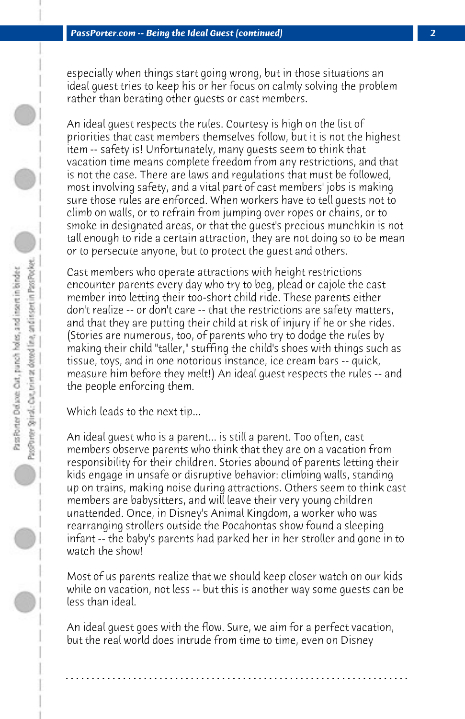especially when things start going wrong, but in those situations an ideal guest tries to keep his or her focus on calmly solving the problem rather than berating other guests or cast members.

An ideal guest respects the rules. Courtesy is high on the list of priorities that cast members themselves follow, but it is not the highest item -- safety is! Unfortunately, many guests seem to think that vacation time means complete freedom from any restrictions, and that is not the case. There are laws and regulations that must be followed, most involving safety, and a vital part of cast members' jobs is making sure those rules are enforced. When workers have to tell guests not to climb on walls, or to refrain from jumping over ropes or chains, or to smoke in designated areas, or that the guest's precious munchkin is not tall enough to ride a certain attraction, they are not doing so to be mean or to persecute anyone, but to protect the guest and others.

Cast members who operate attractions with height restrictions encounter parents every day who try to beg, plead or cajole the cast member into letting their too-short child ride. These parents either don't realize -- or don't care -- that the restrictions are safety matters, and that they are putting their child at risk of injury if he or she rides. (Stories are numerous, too, of parents who try to dodge the rules by making their child "taller," stuffing the child's shoes with things such as tissue, toys, and in one notorious instance, ice cream bars -- quick, measure him before they melt!) An ideal guest respects the rules -- and the people enforcing them.

Which leads to the next tip...

An ideal guest who is a parent... is still a parent. Too often, cast members observe parents who think that they are on a vacation from responsibility for their children. Stories abound of parents letting their kids engage in unsafe or disruptive behavior: climbing walls, standing up on trains, making noise during attractions. Others seem to think cast members are babysitters, and will leave their very young children unattended. Once, in Disney's Animal Kingdom, a worker who was rearranging strollers outside the Pocahontas show found a sleeping infant -- the baby's parents had parked her in her stroller and gone in to watch the show!

Most of us parents realize that we should keep closer watch on our kids while on vacation, not less -- but this is another way some guests can be less than ideal.

An ideal guest goes with the flow. Sure, we aim for a perfect vacation, but the real world does intrude from time to time, even on Disney

**. . . . . . . . . . . . . . . . . . . . . . . . . . . . . . . . . . . . . . . . . . . . . . . . . . . . . . . . . . . . . . . . . .**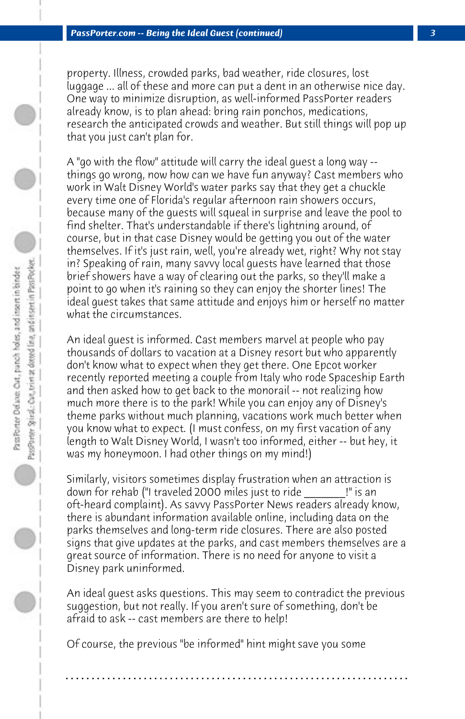property. Illness, crowded parks, bad weather, ride closures, lost luggage ... all of these and more can put a dent in an otherwise nice day. One way to minimize disruption, as well-informed PassPorter readers already know, is to plan ahead: bring rain ponchos, medications, research the anticipated crowds and weather. But still things will pop up that you just can't plan for.

A "go with the flow" attitude will carry the ideal guest a long way - things go wrong, now how can we have fun anyway? Cast members who work in Walt Disney World's water parks say that they get a chuckle every time one of Florida's regular afternoon rain showers occurs, because many of the guests will squeal in surprise and leave the pool to find shelter. That's understandable if there's lightning around, of course, but in that case Disney would be getting you out of the water themselves. If it's just rain, well, you're already wet, right? Why not stay in? Speaking of rain, many savvy local guests have learned that those brief showers have a way of clearing out the parks, so they'll make a point to go when it's raining so they can enjoy the shorter lines! The ideal guest takes that same attitude and enjoys him or herself no matter what the circumstances.

An ideal guest is informed. Cast members marvel at people who pay thousands of dollars to vacation at a Disney resort but who apparently don't know what to expect when they get there. One Epcot worker recently reported meeting a couple from Italy who rode Spaceship Earth and then asked how to get back to the monorail -- not realizing how much more there is to the park! While you can enjoy any of Disney's theme parks without much planning, vacations work much better when you know what to expect. (I must confess, on my first vacation of any length to Walt Disney World, I wasn't too informed, either -- but hey, it was my honeymoon. I had other things on my mind!)

Similarly, visitors sometimes display frustration when an attraction is down for rehab ("I traveled 2000 miles just to ride \_\_\_\_\_\_\_!" is an oft-heard complaint). As savvy PassPorter News readers already know, there is abundant information available online, including data on the parks themselves and long-term ride closures. There are also posted signs that give updates at the parks, and cast members themselves are a great source of information. There is no need for anyone to visit a Disney park uninformed.

An ideal guest asks questions. This may seem to contradict the previous suggestion, but not really. If you aren't sure of something, don't be afraid to ask -- cast members are there to help!

**. . . . . . . . . . . . . . . . . . . . . . . . . . . . . . . . . . . . . . . . . . . . . . . . . . . . . . . . . . . . . . . . . .**

Of course, the previous "be informed" hint might save you some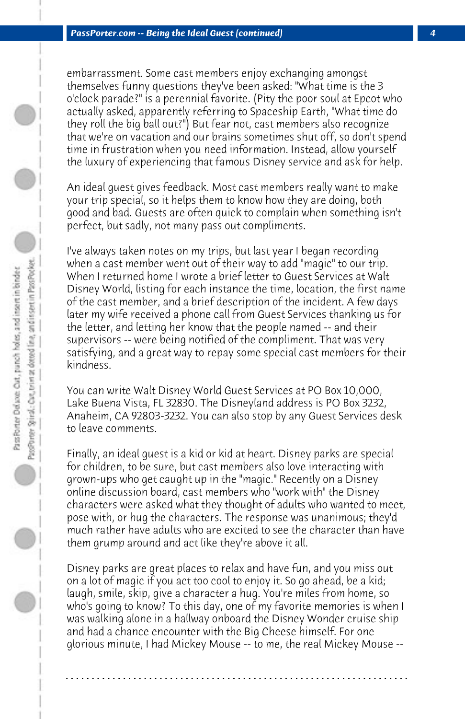embarrassment. Some cast members enjoy exchanging amongst themselves funny questions they've been asked: "What time is the 3 o'clock parade?" is a perennial favorite. (Pity the poor soul at Epcot who actually asked, apparently referring to Spaceship Earth, "What time do they roll the big ball out?") But fear not, cast members also recognize that we're on vacation and our brains sometimes shut off, so don't spend time in frustration when you need information. Instead, allow yourself the luxury of experiencing that famous Disney service and ask for help.

An ideal guest gives feedback. Most cast members really want to make your trip special, so it helps them to know how they are doing, both good and bad. Guests are often quick to complain when something isn't perfect, but sadly, not many pass out compliments.

I've always taken notes on my trips, but last year I began recording when a cast member went out of their way to add "magic" to our trip. When I returned home I wrote a brief letter to Guest Services at Walt Disney World, listing for each instance the time, location, the first name of the cast member, and a brief description of the incident. A few days later my wife received a phone call from Guest Services thanking us for the letter, and letting her know that the people named -- and their supervisors -- were being notified of the compliment. That was very satisfying, and a great way to repay some special cast members for their kindness.

You can write Walt Disney World Guest Services at PO Box 10,000, Lake Buena Vista, FL 32830. The Disneyland address is PO Box 3232, Anaheim, CA 92803-3232. You can also stop by any Guest Services desk to leave comments.

Finally, an ideal guest is a kid or kid at heart. Disney parks are special for children, to be sure, but cast members also love interacting with grown-ups who get caught up in the "magic." Recently on a Disney online discussion board, cast members who "work with" the Disney characters were asked what they thought of adults who wanted to meet, pose with, or hug the characters. The response was unanimous; they'd much rather have adults who are excited to see the character than have them grump around and act like they're above it all.

Disney parks are great places to relax and have fun, and you miss out on a lot of magic if you act too cool to enjoy it. So go ahead, be a kid; laugh, smile, skip, give a character a hug. You're miles from home, so who's going to know? To this day, one of my favorite memories is when I was walking alone in a hallway onboard the Disney Wonder cruise ship and had a chance encounter with the Big Cheese himself. For one glorious minute, I had Mickey Mouse -- to me, the real Mickey Mouse --

**. . . . . . . . . . . . . . . . . . . . . . . . . . . . . . . . . . . . . . . . . . . . . . . . . . . . . . . . . . . . . . . . . .**